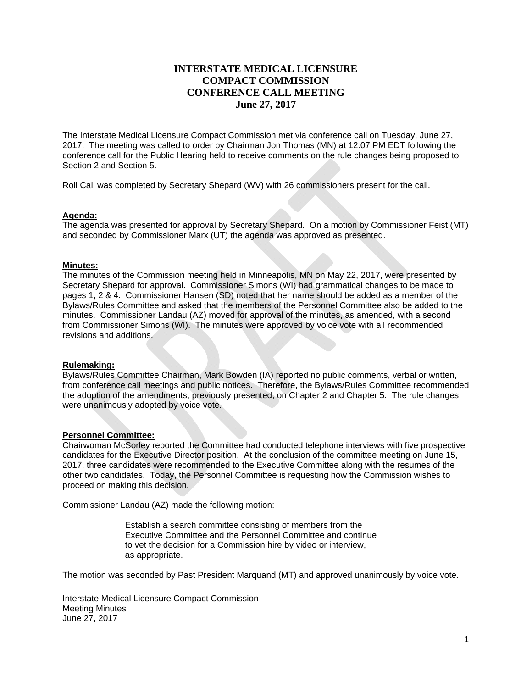## **INTERSTATE MEDICAL LICENSURE COMPACT COMMISSION CONFERENCE CALL MEETING June 27, 2017**

The Interstate Medical Licensure Compact Commission met via conference call on Tuesday, June 27, 2017. The meeting was called to order by Chairman Jon Thomas (MN) at 12:07 PM EDT following the conference call for the Public Hearing held to receive comments on the rule changes being proposed to Section 2 and Section 5.

Roll Call was completed by Secretary Shepard (WV) with 26 commissioners present for the call.

#### **Agenda:**

The agenda was presented for approval by Secretary Shepard. On a motion by Commissioner Feist (MT) and seconded by Commissioner Marx (UT) the agenda was approved as presented.

#### **Minutes:**

The minutes of the Commission meeting held in Minneapolis, MN on May 22, 2017, were presented by Secretary Shepard for approval. Commissioner Simons (WI) had grammatical changes to be made to pages 1, 2 & 4. Commissioner Hansen (SD) noted that her name should be added as a member of the Bylaws/Rules Committee and asked that the members of the Personnel Committee also be added to the minutes. Commissioner Landau (AZ) moved for approval of the minutes, as amended, with a second from Commissioner Simons (WI). The minutes were approved by voice vote with all recommended revisions and additions.

### **Rulemaking:**

Bylaws/Rules Committee Chairman, Mark Bowden (IA) reported no public comments, verbal or written, from conference call meetings and public notices. Therefore, the Bylaws/Rules Committee recommended the adoption of the amendments, previously presented, on Chapter 2 and Chapter 5. The rule changes were unanimously adopted by voice vote.

#### **Personnel Committee:**

Chairwoman McSorley reported the Committee had conducted telephone interviews with five prospective candidates for the Executive Director position. At the conclusion of the committee meeting on June 15, 2017, three candidates were recommended to the Executive Committee along with the resumes of the other two candidates. Today, the Personnel Committee is requesting how the Commission wishes to proceed on making this decision.

Commissioner Landau (AZ) made the following motion:

 Establish a search committee consisting of members from the Executive Committee and the Personnel Committee and continue to vet the decision for a Commission hire by video or interview, as appropriate.

The motion was seconded by Past President Marquand (MT) and approved unanimously by voice vote.

Interstate Medical Licensure Compact Commission Meeting Minutes June 27, 2017